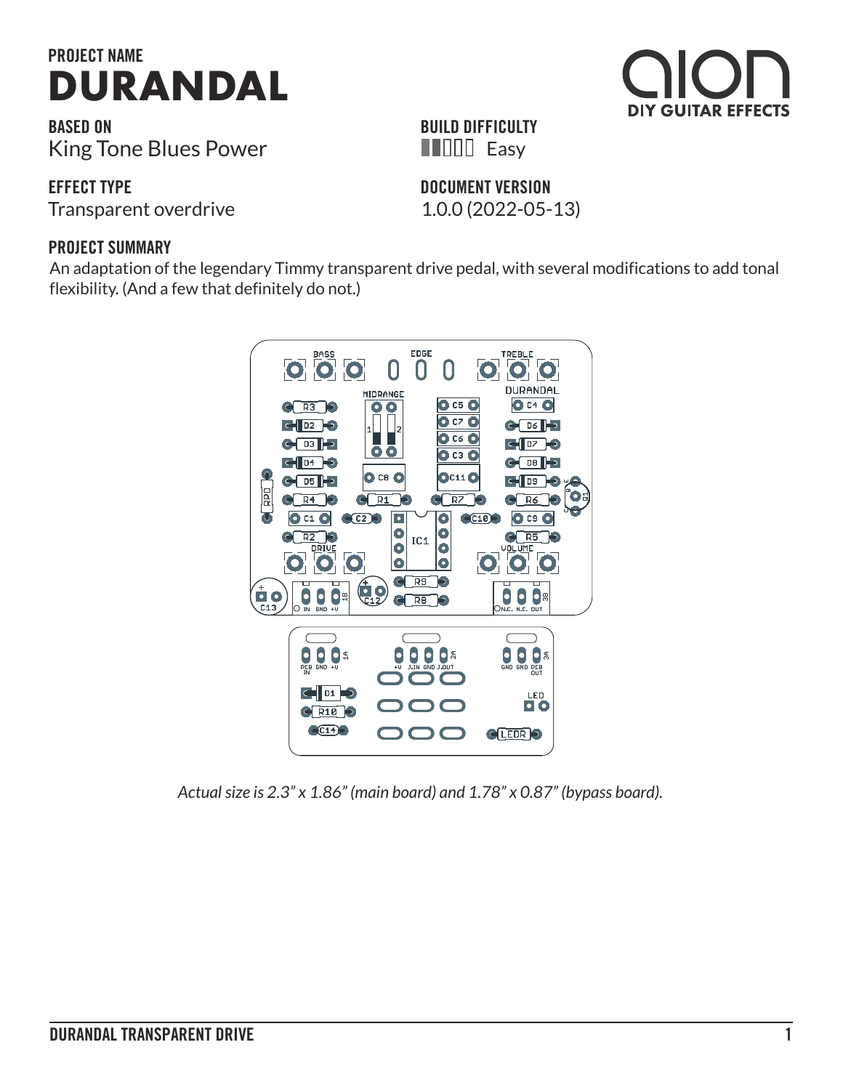

**BASED ON** King Tone Blues Power

**EFFECT TYPE**

Transparent overdrive 1.0.0 (2022-05-13)

### **PROJECT SUMMARY**

An adaptation of the legendary Timmy transparent drive pedal, with several modifications to add tonal flexibility. (And a few that definitely do not.)



*Actual size is 2.3" x 1.86" (main board) and 1.78" x 0.87" (bypass board).*



# **DOCUMENT VERSION HILLE** Easy

**BUILD DIFFICULTY**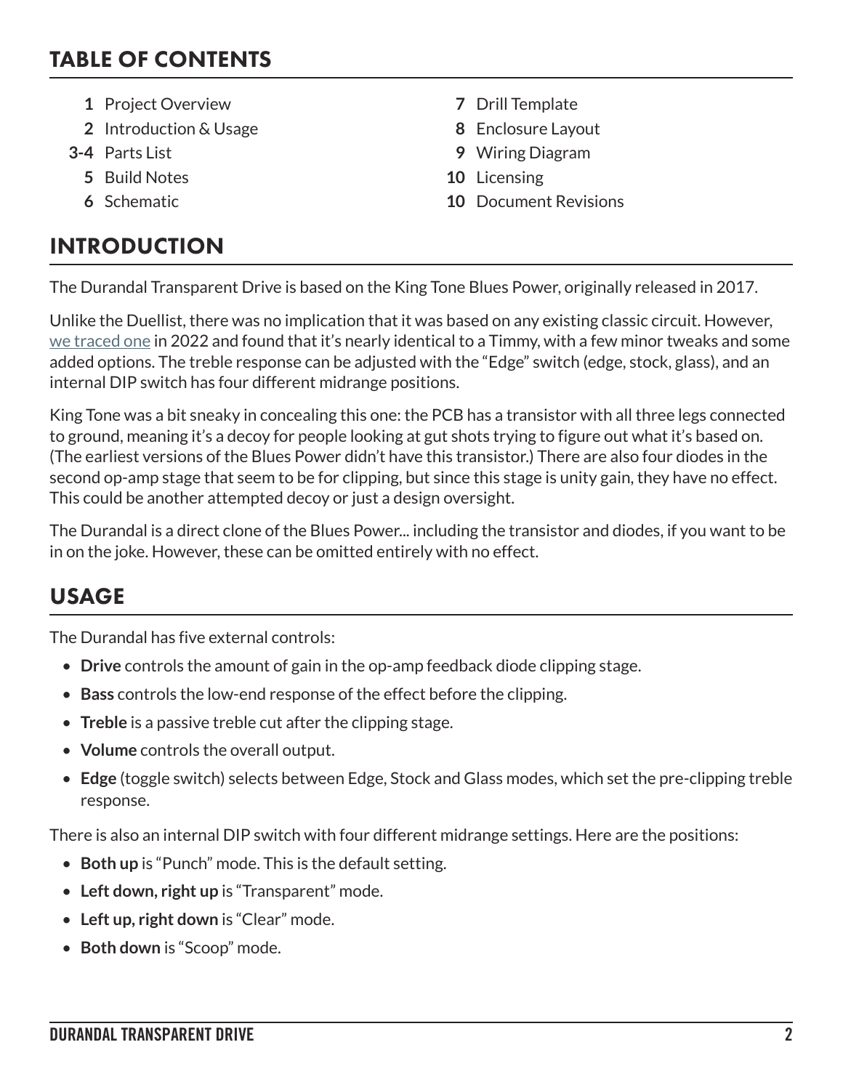## TABLE OF CONTENTS

- **1** Project Overview **7** Drill Template
- **2** Introduction & Usage **8** Enclosure Layout
- - **5** Build Notes **10** Licensing
	-

# INTRODUCTION

- 
- 
- **3-4** Parts List **9** Wiring Diagram
	-
	- **6** Schematic **10** Document Revisions

The Durandal Transparent Drive is based on the King Tone Blues Power, originally released in 2017.

Unlike the Duellist, there was no implication that it was based on any existing classic circuit. However, [we traced one](https://aionfx.com/news/tracing-journal-king-tone-blues-power/) in 2022 and found that it's nearly identical to a Timmy, with a few minor tweaks and some added options. The treble response can be adjusted with the "Edge" switch (edge, stock, glass), and an internal DIP switch has four different midrange positions.

King Tone was a bit sneaky in concealing this one: the PCB has a transistor with all three legs connected to ground, meaning it's a decoy for people looking at gut shots trying to figure out what it's based on. (The earliest versions of the Blues Power didn't have this transistor.) There are also four diodes in the second op-amp stage that seem to be for clipping, but since this stage is unity gain, they have no effect. This could be another attempted decoy or just a design oversight.

The Durandal is a direct clone of the Blues Power... including the transistor and diodes, if you want to be in on the joke. However, these can be omitted entirely with no effect.

# USAGE

The Durandal has five external controls:

- **Drive** controls the amount of gain in the op-amp feedback diode clipping stage.
- **Bass** controls the low-end response of the effect before the clipping.
- **Treble** is a passive treble cut after the clipping stage.
- **Volume** controls the overall output.
- **Edge** (toggle switch) selects between Edge, Stock and Glass modes, which set the pre-clipping treble response.

There is also an internal DIP switch with four different midrange settings. Here are the positions:

- **Both up** is "Punch" mode. This is the default setting.
- **Left down, right up** is "Transparent" mode.
- **Left up, right down** is "Clear" mode.
- **Both down** is "Scoop" mode.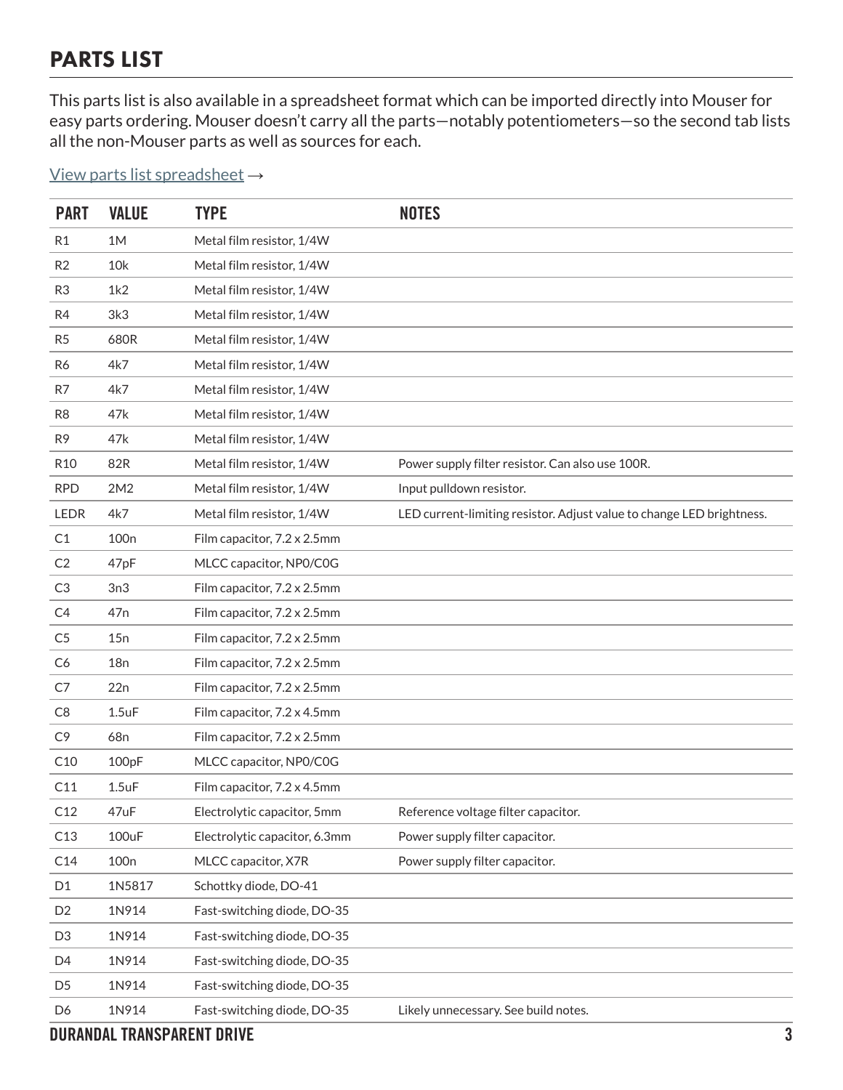## PARTS LIST

This parts list is also available in a spreadsheet format which can be imported directly into Mouser for easy parts ordering. Mouser doesn't carry all the parts—notably potentiometers—so the second tab lists all the non-Mouser parts as well as sources for each.

#### [View parts list spreadsheet](https://docs.google.com/spreadsheets/d/1_EmwSs-7ygKTwArT18hPOPFocsKeE7QJK7q1MFZ3JgY/edit?usp=sharing) →

| <b>PART</b>     | <b>VALUE</b>     | <b>TYPE</b>                   | <b>NOTES</b>                                                          |
|-----------------|------------------|-------------------------------|-----------------------------------------------------------------------|
| R <sub>1</sub>  | 1M               | Metal film resistor, 1/4W     |                                                                       |
| R2              | 10k              | Metal film resistor, 1/4W     |                                                                       |
| R <sub>3</sub>  | 1k2              | Metal film resistor, 1/4W     |                                                                       |
| R4              | 3k3              | Metal film resistor, 1/4W     |                                                                       |
| R <sub>5</sub>  | 680R             | Metal film resistor, 1/4W     |                                                                       |
| R6              | 4k7              | Metal film resistor, 1/4W     |                                                                       |
| R7              | 4k7              | Metal film resistor, 1/4W     |                                                                       |
| R <sub>8</sub>  | 47k              | Metal film resistor, 1/4W     |                                                                       |
| R <sub>9</sub>  | 47k              | Metal film resistor, 1/4W     |                                                                       |
| R <sub>10</sub> | 82R              | Metal film resistor, 1/4W     | Power supply filter resistor. Can also use 100R.                      |
| <b>RPD</b>      | 2M2              | Metal film resistor, 1/4W     | Input pulldown resistor.                                              |
| <b>LEDR</b>     | 4k7              | Metal film resistor, 1/4W     | LED current-limiting resistor. Adjust value to change LED brightness. |
| C1              | 100 <sub>n</sub> | Film capacitor, 7.2 x 2.5mm   |                                                                       |
| C <sub>2</sub>  | 47pF             | MLCC capacitor, NP0/C0G       |                                                                       |
| C <sub>3</sub>  | 3n3              | Film capacitor, 7.2 x 2.5mm   |                                                                       |
| C4              | 47 <sub>n</sub>  | Film capacitor, 7.2 x 2.5mm   |                                                                       |
| C <sub>5</sub>  | 15n              | Film capacitor, 7.2 x 2.5mm   |                                                                       |
| C <sub>6</sub>  | 18n              | Film capacitor, 7.2 x 2.5mm   |                                                                       |
| C7              | 22n              | Film capacitor, 7.2 x 2.5mm   |                                                                       |
| C8              | $1.5$ u $F$      | Film capacitor, 7.2 x 4.5mm   |                                                                       |
| C <sub>9</sub>  | 68 <sub>n</sub>  | Film capacitor, 7.2 x 2.5mm   |                                                                       |
| C10             | 100pF            | MLCC capacitor, NP0/C0G       |                                                                       |
| C11             | $1.5$ u $F$      | Film capacitor, 7.2 x 4.5mm   |                                                                       |
| C12             | 47uF             | Electrolytic capacitor, 5mm   | Reference voltage filter capacitor.                                   |
| C13             | 100uF            | Electrolytic capacitor, 6.3mm | Power supply filter capacitor.                                        |
| C14             | 100 <sub>n</sub> | MLCC capacitor, X7R           | Power supply filter capacitor.                                        |
| D1              | 1N5817           | Schottky diode, DO-41         |                                                                       |
| D <sub>2</sub>  | 1N914            | Fast-switching diode, DO-35   |                                                                       |
| D <sub>3</sub>  | 1N914            | Fast-switching diode, DO-35   |                                                                       |
| D4              | 1N914            | Fast-switching diode, DO-35   |                                                                       |
| D <sub>5</sub>  | 1N914            | Fast-switching diode, DO-35   |                                                                       |
| D6              | 1N914            | Fast-switching diode, DO-35   | Likely unnecessary. See build notes.                                  |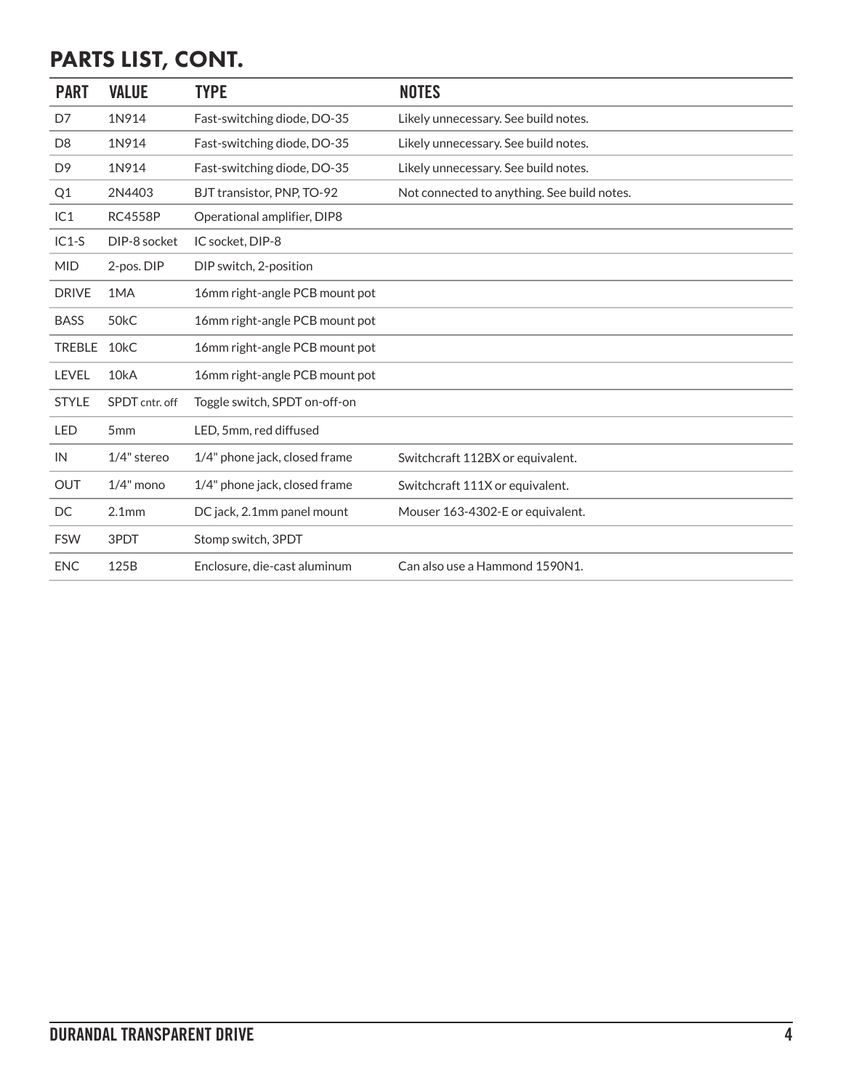# PARTS LIST, CONT.

| <b>PART</b>    | <b>VALUE</b>      | <b>TYPE</b>                    | <b>NOTES</b>                                |
|----------------|-------------------|--------------------------------|---------------------------------------------|
| D7             | 1N914             | Fast-switching diode, DO-35    | Likely unnecessary. See build notes.        |
| D <sub>8</sub> | 1N914             | Fast-switching diode, DO-35    | Likely unnecessary. See build notes.        |
| D <sub>9</sub> | 1N914             | Fast-switching diode, DO-35    | Likely unnecessary. See build notes.        |
| Q <sub>1</sub> | 2N4403            | BJT transistor, PNP, TO-92     | Not connected to anything. See build notes. |
| IC1            | <b>RC4558P</b>    | Operational amplifier, DIP8    |                                             |
| $IC1-S$        | DIP-8 socket      | IC socket, DIP-8               |                                             |
| <b>MID</b>     | 2-pos. DIP        | DIP switch, 2-position         |                                             |
| <b>DRIVE</b>   | 1MA               | 16mm right-angle PCB mount pot |                                             |
| <b>BASS</b>    | 50 <sub>k</sub> C | 16mm right-angle PCB mount pot |                                             |
| <b>TREBLE</b>  | 10 <sub>k</sub> C | 16mm right-angle PCB mount pot |                                             |
| LEVEL          | 10kA              | 16mm right-angle PCB mount pot |                                             |
| <b>STYLE</b>   | SPDT cntr. off    | Toggle switch, SPDT on-off-on  |                                             |
| <b>LED</b>     | 5 <sub>mm</sub>   | LED, 5mm, red diffused         |                                             |
| IN             | $1/4"$ stereo     | 1/4" phone jack, closed frame  | Switchcraft 112BX or equivalent.            |
| <b>OUT</b>     | $1/4$ " mono      | 1/4" phone jack, closed frame  | Switchcraft 111X or equivalent.             |
| DC             | 2.1 <sub>mm</sub> | DC jack, 2.1mm panel mount     | Mouser 163-4302-E or equivalent.            |
| <b>FSW</b>     | 3PDT              | Stomp switch, 3PDT             |                                             |
| <b>ENC</b>     | 125B              | Enclosure, die-cast aluminum   | Can also use a Hammond 1590N1.              |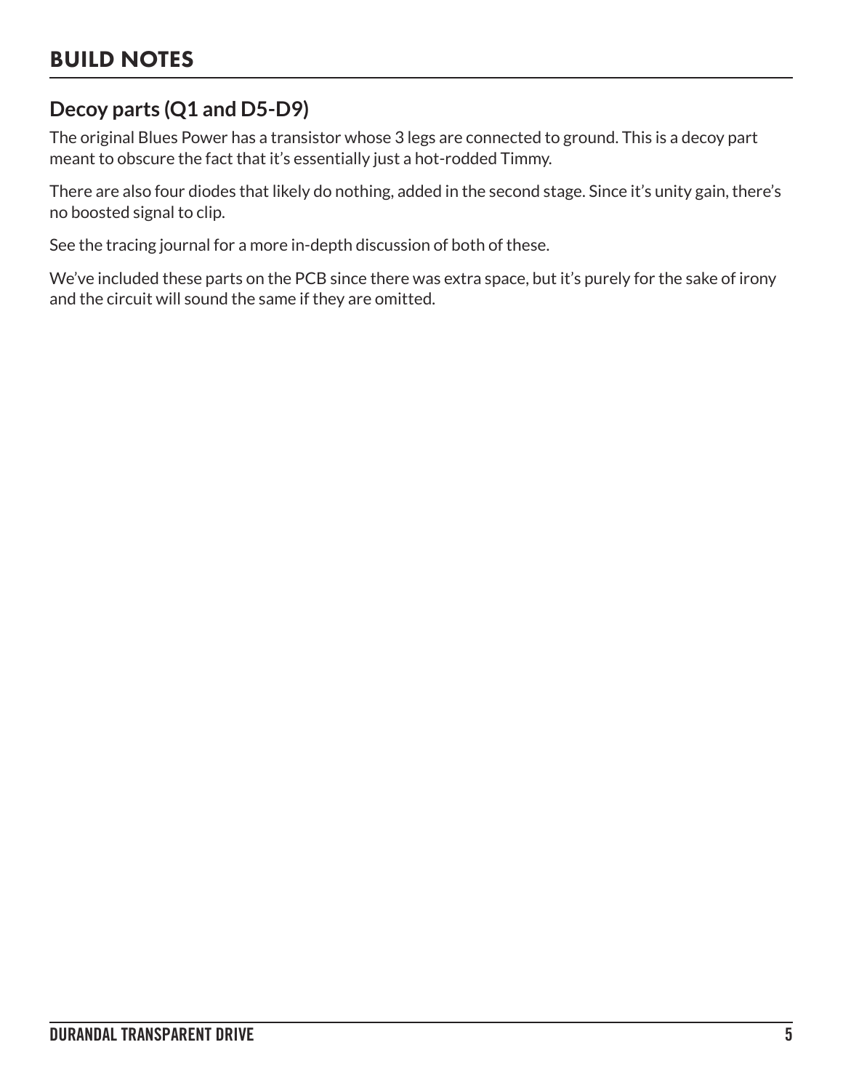## **Decoy parts (Q1 and D5-D9)**

The original Blues Power has a transistor whose 3 legs are connected to ground. This is a decoy part meant to obscure the fact that it's essentially just a hot-rodded Timmy.

There are also four diodes that likely do nothing, added in the second stage. Since it's unity gain, there's no boosted signal to clip.

See the tracing journal for a more in-depth discussion of both of these.

We've included these parts on the PCB since there was extra space, but it's purely for the sake of irony and the circuit will sound the same if they are omitted.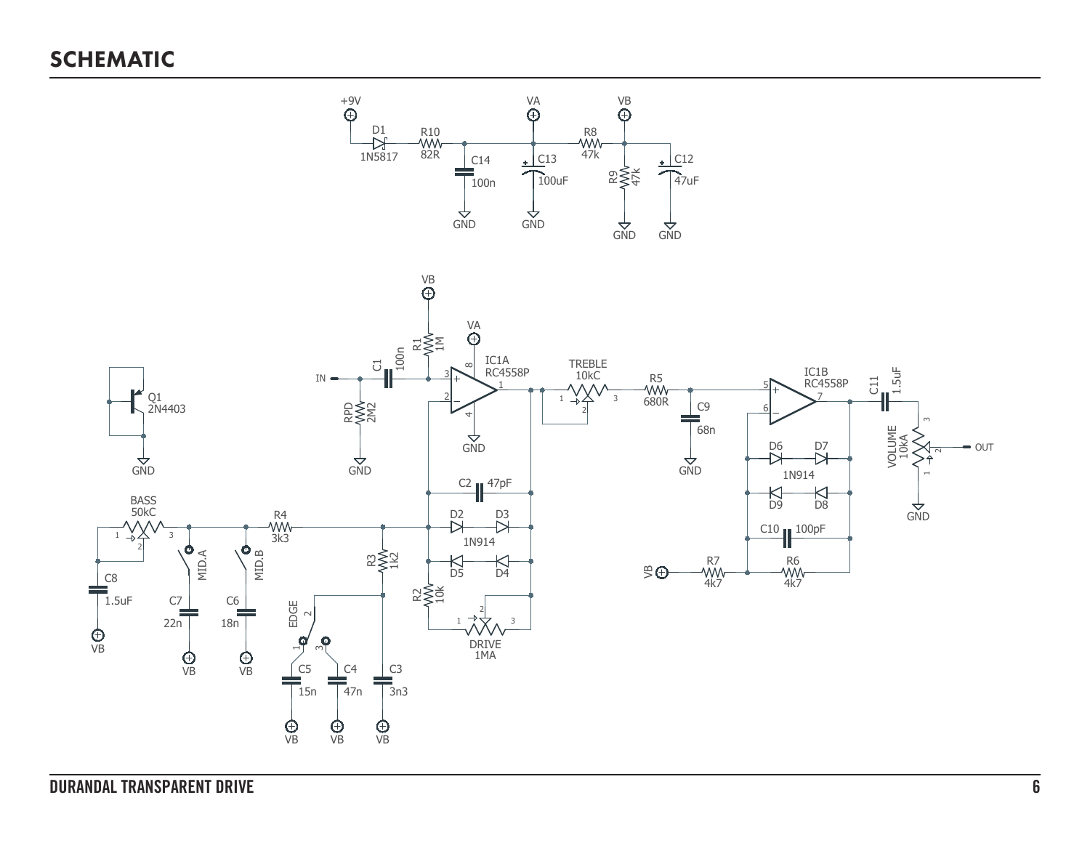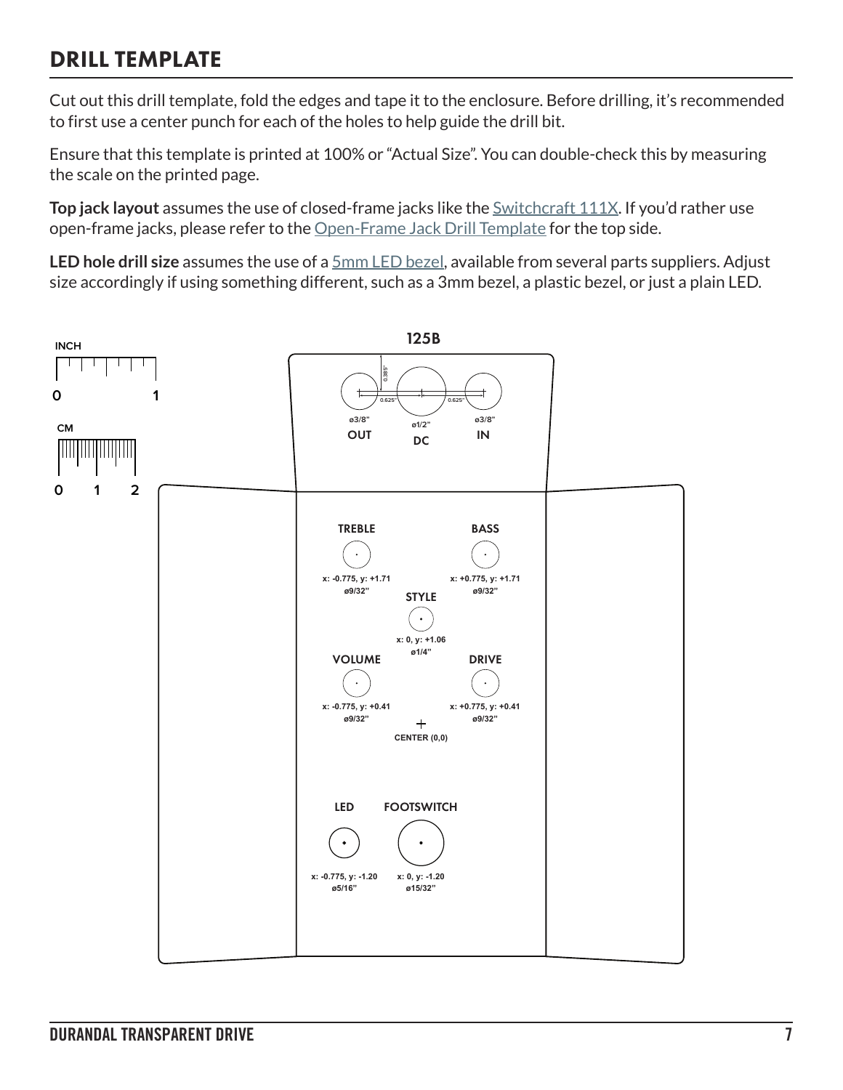## DRILL TEMPLATE

Cut out this drill template, fold the edges and tape it to the enclosure. Before drilling, it's recommended to first use a center punch for each of the holes to help guide the drill bit.

Ensure that this template is printed at 100% or "Actual Size". You can double-check this by measuring the scale on the printed page.

**Top jack layout** assumes the use of closed-frame jacks like the **Switchcraft 111X**. If you'd rather use open-frame jacks, please refer to the [Open-Frame Jack Drill Template](https://aionfx.com/link/open-frame-drill-template/) for the top side.

**LED hole drill size** assumes the use of a [5mm LED bezel,](https://aionfx.com/link/chrome-bezel-for-5mm-led/) available from several parts suppliers. Adjust size accordingly if using something different, such as a 3mm bezel, a plastic bezel, or just a plain LED.

![](_page_6_Figure_5.jpeg)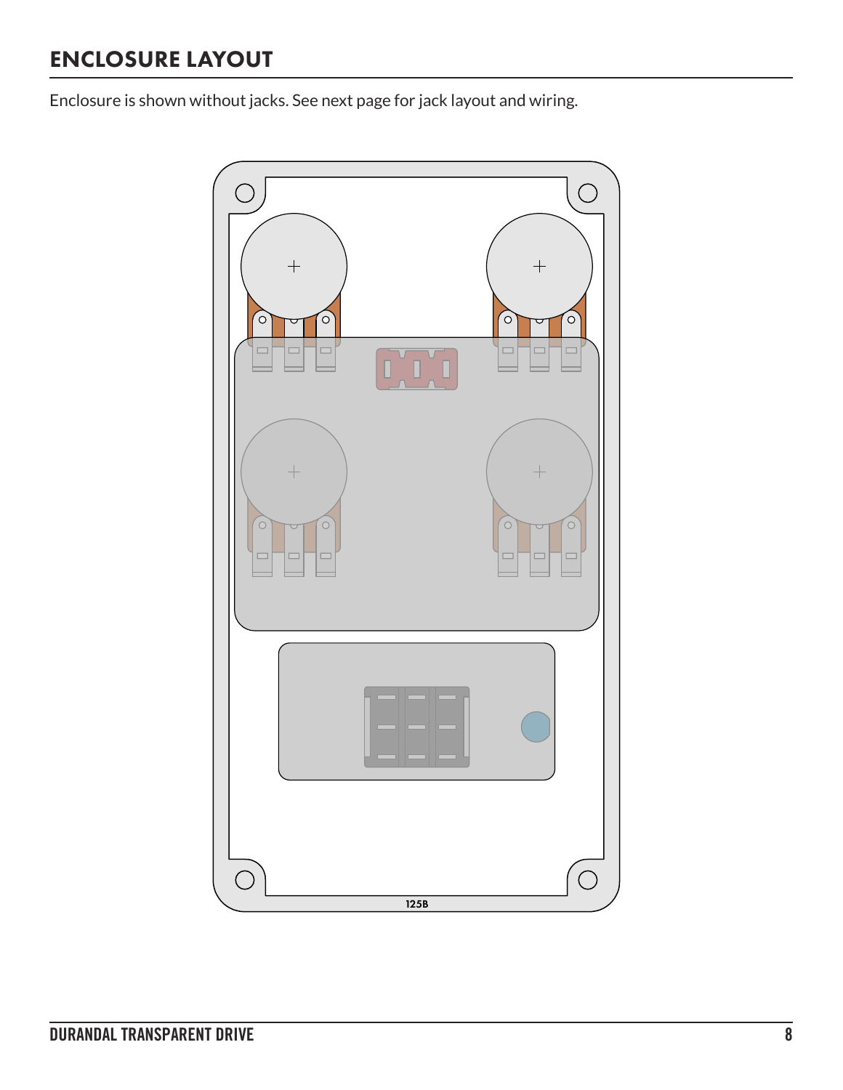## ENCLOSURE LAYOUT

Enclosure is shown without jacks. See next page for jack layout and wiring.

![](_page_7_Figure_2.jpeg)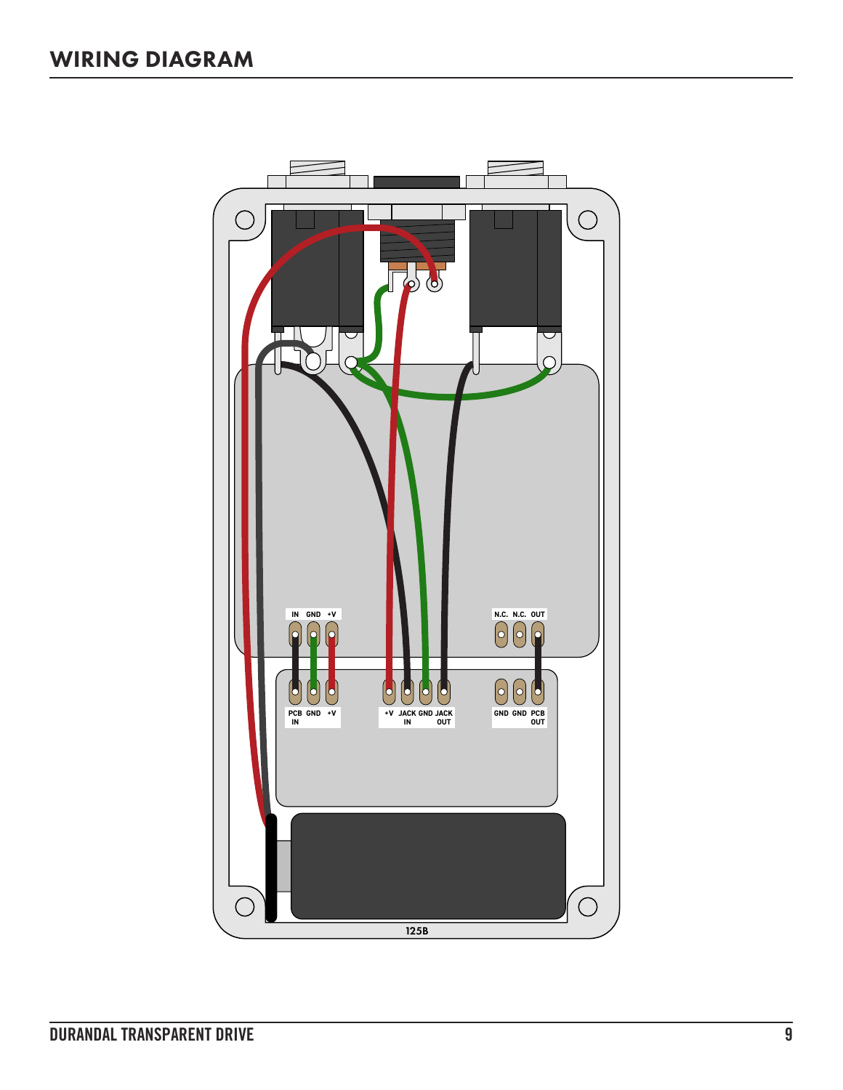![](_page_8_Figure_1.jpeg)